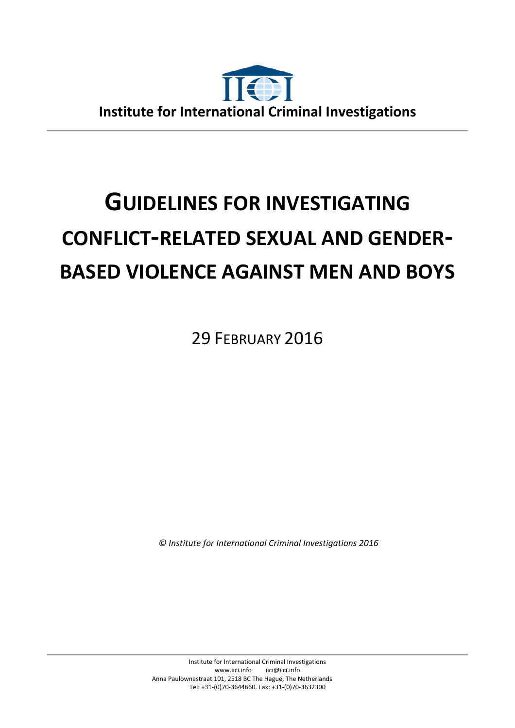

# **GUIDELINES FOR INVESTIGATING CONFLICT-RELATED SEXUAL AND GENDER-BASED VIOLENCE AGAINST MEN AND BOYS**

29 FEBRUARY 2016

*© Institute for International Criminal Investigations 2016*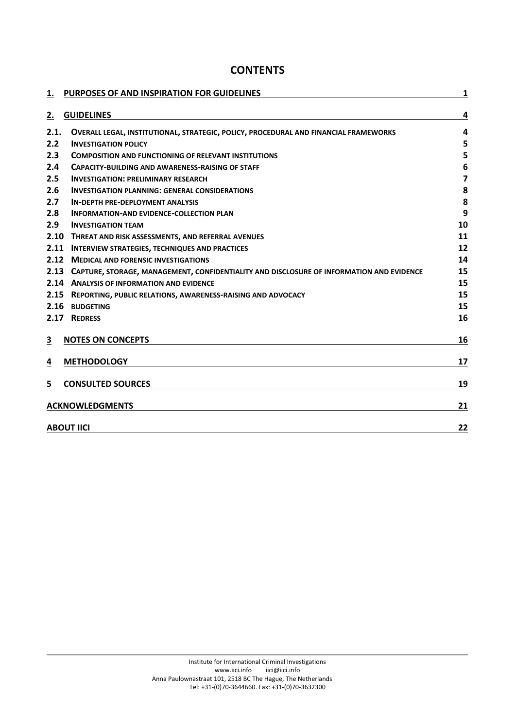# **CONTENTS**

| 1.                      | PURPOSES OF AND INSPIRATION FOR GUIDELINES                                               | 1                       |
|-------------------------|------------------------------------------------------------------------------------------|-------------------------|
| <u>2.</u>               | <b>GUIDELINES</b>                                                                        | 4                       |
| 2.1.                    | OVERALL LEGAL, INSTITUTIONAL, STRATEGIC, POLICY, PROCEDURAL AND FINANCIAL FRAMEWORKS     | $\overline{a}$          |
| 2.2                     | <b>INVESTIGATION POLICY</b>                                                              | 5                       |
| 2.3                     | <b>COMPOSITION AND FUNCTIONING OF RELEVANT INSTITUTIONS</b>                              | 5                       |
| 2.4                     | <b>CAPACITY-BUILDING AND AWARENESS-RAISING OF STAFF</b>                                  | 6                       |
| 2.5                     | <b>INVESTIGATION: PRELIMINARY RESEARCH</b>                                               | $\overline{\mathbf{z}}$ |
| 2.6                     | <b>INVESTIGATION PLANNING: GENERAL CONSIDERATIONS</b>                                    | 8                       |
| 2.7                     | <b>IN-DEPTH PRE-DEPLOYMENT ANALYSIS</b>                                                  | 8                       |
| 2.8                     | <b>INFORMATION-AND EVIDENCE-COLLECTION PLAN</b>                                          | 9                       |
| 2.9                     | <b>INVESTIGATION TEAM</b>                                                                | 10                      |
| 2.10                    | THREAT AND RISK ASSESSMENTS, AND REFERRAL AVENUES                                        | 11                      |
| 2.11                    | <b>INTERVIEW STRATEGIES, TECHNIQUES AND PRACTICES</b>                                    | 12                      |
|                         | 2.12 MEDICAL AND FORENSIC INVESTIGATIONS                                                 | 14                      |
| 2.13                    | CAPTURE, STORAGE, MANAGEMENT, CONFIDENTIALITY AND DISCLOSURE OF INFORMATION AND EVIDENCE | 15                      |
|                         | 2.14 ANALYSIS OF INFORMATION AND EVIDENCE                                                | 15                      |
| 2.15                    | REPORTING, PUBLIC RELATIONS, AWARENESS-RAISING AND ADVOCACY                              | 15                      |
| 2.16                    | <b>BUDGETING</b>                                                                         | 15                      |
| 2.17                    | <b>REDRESS</b>                                                                           | 16                      |
| $\overline{\mathbf{3}}$ | <b>NOTES ON CONCEPTS</b>                                                                 | 16                      |
| 4                       | <b>METHODOLOGY</b>                                                                       | 17                      |
| $\overline{5}$          | <b>CONSULTED SOURCES</b>                                                                 | 19                      |
|                         | <b>ACKNOWLEDGMENTS</b>                                                                   | 21                      |
| <b>ABOUT IICI</b>       |                                                                                          | 22                      |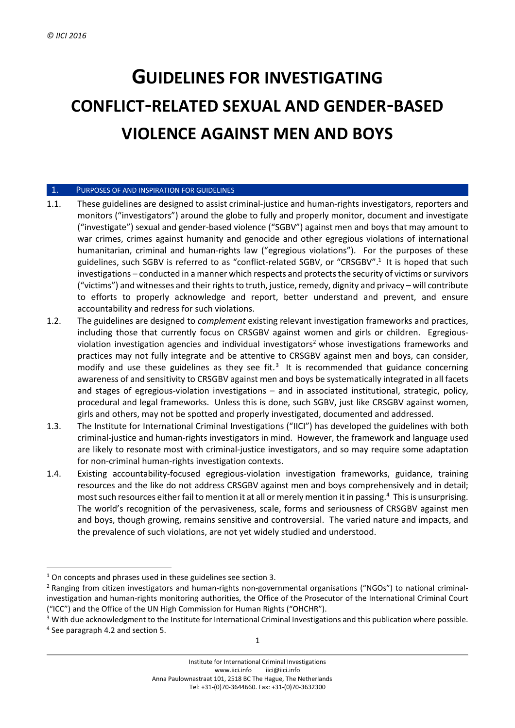# **GUIDELINES FOR INVESTIGATING CONFLICT-RELATED SEXUAL AND GENDER-BASED VIOLENCE AGAINST MEN AND BOYS**

#### 1. PURPOSES OF AND INSPIRATION FOR GUIDELINES

- 1.1. These guidelines are designed to assist criminal-justice and human-rights investigators, reporters and monitors ("investigators") around the globe to fully and properly monitor, document and investigate ("investigate") sexual and gender-based violence ("SGBV") against men and boys that may amount to war crimes, crimes against humanity and genocide and other egregious violations of international humanitarian, criminal and human-rights law ("egregious violations"). For the purposes of these guidelines, such SGBV is referred to as "conflict-related SGBV, or "CRSGBV".<sup>1</sup> It is hoped that such investigations – conducted in a manner which respects and protects the security of victims or survivors ("victims") and witnesses and their rights to truth, justice, remedy, dignity and privacy – will contribute to efforts to properly acknowledge and report, better understand and prevent, and ensure accountability and redress for such violations.
- 1.2. The guidelines are designed to *complement* existing relevant investigation frameworks and practices, including those that currently focus on CRSGBV against women and girls or children. Egregiousviolation investigation agencies and individual investigators<sup>2</sup> whose investigations frameworks and practices may not fully integrate and be attentive to CRSGBV against men and boys, can consider, modify and use these guidelines as they see fit.<sup>3</sup> It is recommended that guidance concerning awareness of and sensitivity to CRSGBV against men and boys be systematically integrated in all facets and stages of egregious-violation investigations – and in associated institutional, strategic, policy, procedural and legal frameworks. Unless this is done, such SGBV, just like CRSGBV against women, girls and others, may not be spotted and properly investigated, documented and addressed.
- 1.3. The Institute for International Criminal Investigations ("IICI") has developed the guidelines with both criminal-justice and human-rights investigators in mind. However, the framework and language used are likely to resonate most with criminal-justice investigators, and so may require some adaptation for non-criminal human-rights investigation contexts.
- 1.4. Existing accountability-focused egregious-violation investigation frameworks, guidance, training resources and the like do not address CRSGBV against men and boys comprehensively and in detail; most such resources either fail to mention it at all or merely mention it in passing.<sup>4</sup> This is unsurprising. The world's recognition of the pervasiveness, scale, forms and seriousness of CRSGBV against men and boys, though growing, remains sensitive and controversial. The varied nature and impacts, and the prevalence of such violations, are not yet widely studied and understood.

 $\overline{a}$ 

 $1$  On concepts and phrases used in these guidelines see section [3.](#page-17-0)

<sup>2</sup> Ranging from citizen investigators and human-rights non-governmental organisations ("NGOs") to national criminalinvestigation and human-rights monitoring authorities, the Office of the Prosecutor of the International Criminal Court ("ICC") and the Office of the UN High Commission for Human Rights ("OHCHR").

<sup>&</sup>lt;sup>3</sup> With due acknowledgment to the Institute for International Criminal Investigations and this publication where possible. 4 See paragraph [4.2](#page-19-0) and section [5.](#page-20-0)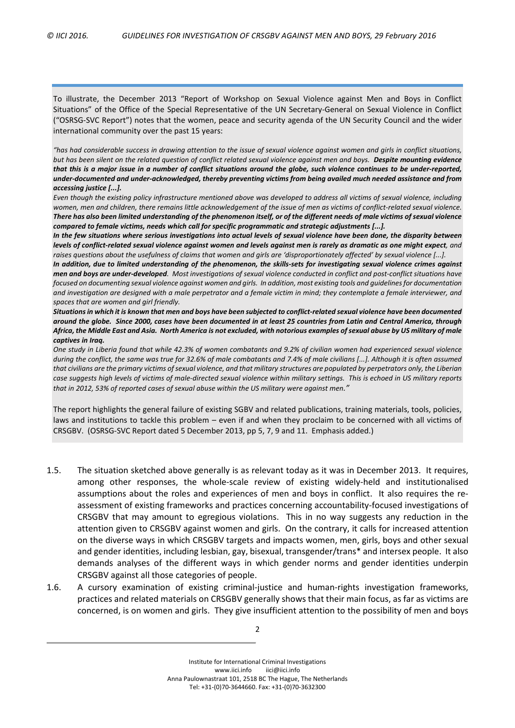To illustrate, the December 2013 "Report of Workshop on Sexual Violence against Men and Boys in Conflict Situations" of the Office of the Special Representative of the UN Secretary-General on Sexual Violence in Conflict ("OSRSG-SVC Report") notes that the women, peace and security agenda of the UN Security Council and the wider international community over the past 15 years:

"has had considerable success in drawing attention to the issue of sexual violence against women and girls in conflict situations, but has been silent on the related question of conflict related sexual violence against men and boys. Despite mounting evidence that this is a major issue in a number of conflict situations around the globe, such violence continues to be under-reported, *under-documented and under-acknowledged, thereby preventing victims from being availed much needed assistance and from accessing justice [...].* 

Even though the existing policy infrastructure mentioned above was developed to address all victims of sexual violence, including women, men and children, there remains little acknowledgement of the issue of men as victims of conflict-related sexual violence. There has also been limited understanding of the phenomenon itself, or of the different needs of male victims of sexual violence *compared to female victims, needs which call for specific programmatic and strategic adjustments [...].* 

In the few situations where serious investigations into actual levels of sexual violence have been done, the disparity between levels of conflict-related sexual violence against women and levels against men is rarely as dramatic as one might expect, and raises questions about the usefulness of claims that women and girls are 'disproportionately affected' by sexual violence [...].

In addition, due to limited understanding of the phenomenon, the skills-sets for investigating sexual violence crimes against men and boys are under-developed. Most investigations of sexual violence conducted in conflict and post-conflict situations have focused on documenting sexual violence against women and girls. In addition, most existing tools and guidelines for documentation and investigation are designed with a male perpetrator and a female victim in mind; they contemplate a female interviewer, and *spaces that are women and girl friendly.*

Situations in which it is known that men and boys have been subjected to conflict-related sexual violence have been documented around the globe. Since 2000, cases have been documented in at least 25 countries from Latin and Central America, through Africa, the Middle East and Asia. North America is not excluded, with notorious examples of sexual abuse by US military of male *captives in Iraq.*

One study in Liberia found that while 42.3% of women combatants and 9.2% of civilian women had experienced sexual violence during the conflict, the same was true for 32.6% of male combatants and 7.4% of male civilians [...]. Although it is often assumed that civilians are the primary victims of sexual violence, and that military structures are populated by perpetrators only, the Liberian case suggests high levels of victims of male-directed sexual violence within military settings. This is echoed in US military reports that in 2012, 53% of reported cases of sexual abuse within the US military were against men."

The report highlights the general failure of existing SGBV and related publications, training materials, tools, policies, laws and institutions to tackle this problem – even if and when they proclaim to be concerned with all victims of CRSGBV. (OSRSG-SVC Report dated 5 December 2013, pp 5, 7, 9 and 11. Emphasis added.)

- 1.5. The situation sketched above generally is as relevant today as it was in December 2013. It requires, among other responses, the whole-scale review of existing widely-held and institutionalised assumptions about the roles and experiences of men and boys in conflict. It also requires the reassessment of existing frameworks and practices concerning accountability-focused investigations of CRSGBV that may amount to egregious violations. This in no way suggests any reduction in the attention given to CRSGBV against women and girls. On the contrary, it calls for increased attention on the diverse ways in which CRSGBV targets and impacts women, men, girls, boys and other sexual and gender identities, including lesbian, gay, bisexual, transgender/trans\* and intersex people. It also demands analyses of the different ways in which gender norms and gender identities underpin CRSGBV against all those categories of people.
- 1.6. A cursory examination of existing criminal-justice and human-rights investigation frameworks, practices and related materials on CRSGBV generally shows that their main focus, as far as victims are concerned, is on women and girls. They give insufficient attention to the possibility of men and boys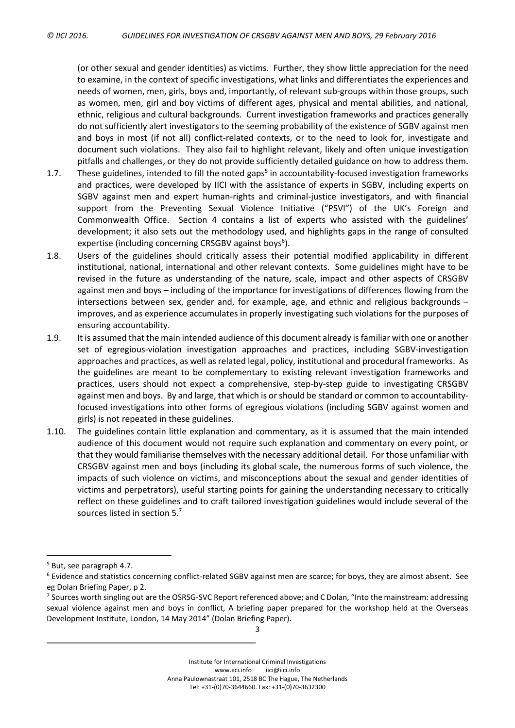(or other sexual and gender identities) as victims. Further, they show little appreciation for the need to examine, in the context of specific investigations, what links and differentiates the experiences and needs of women, men, girls, boys and, importantly, of relevant sub-groups within those groups, such as women, men, girl and boy victims of different ages, physical and mental abilities, and national, ethnic, religious and cultural backgrounds. Current investigation frameworks and practices generally do not sufficiently alert investigators to the seeming probability of the existence of SGBV against men and boys in most (if not all) conflict-related contexts, or to the need to look for, investigate and document such violations. They also fail to highlight relevant, likely and often unique investigation pitfalls and challenges, or they do not provide sufficiently detailed guidance on how to address them.

- 1.7. These guidelines, intended to fill the noted gaps<sup>5</sup> in accountability-focused investigation frameworks and practices, were developed by IICI with the assistance of experts in SGBV, including experts on SGBV against men and expert human-rights and criminal-justice investigators, and with financial support from the Preventing Sexual Violence Initiative ("PSVI") of the UK's Foreign and Commonwealth Office. Section [4](#page-18-0) contains a list of experts who assisted with the guidelines' development; it also sets out the methodology used, and highlights gaps in the range of consulted expertise (including concerning CRSGBV against boys<sup>6</sup>).
- 1.8. Users of the guidelines should critically assess their potential modified applicability in different institutional, national, international and other relevant contexts. Some guidelines might have to be revised in the future as understanding of the nature, scale, impact and other aspects of CRSGBV against men and boys – including of the importance for investigations of differences flowing from the intersections between sex, gender and, for example, age, and ethnic and religious backgrounds – improves, and as experience accumulates in properly investigating such violations for the purposes of ensuring accountability.
- 1.9. It is assumed that the main intended audience of this document already isfamiliar with one or another set of egregious-violation investigation approaches and practices, including SGBV-investigation approaches and practices, as well as related legal, policy, institutional and procedural frameworks. As the guidelines are meant to be complementary to existing relevant investigation frameworks and practices, users should not expect a comprehensive, step-by-step guide to investigating CRSGBV against men and boys. By and large, that which is orshould be standard or common to accountabilityfocused investigations into other forms of egregious violations (including SGBV against women and girls) is not repeated in these guidelines.
- 1.10. The guidelines contain little explanation and commentary, as it is assumed that the main intended audience of this document would not require such explanation and commentary on every point, or that they would familiarise themselves with the necessary additional detail. For those unfamiliar with CRSGBV against men and boys (including its global scale, the numerous forms of such violence, the impacts of such violence on victims, and misconceptions about the sexual and gender identities of victims and perpetrators), useful starting points for gaining the understanding necessary to critically reflect on these guidelines and to craft tailored investigation guidelines would include several of the sources listed in section [5.](#page-20-0)<sup>7</sup>

 $\overline{a}$ 

<sup>5</sup> But, see paragraph [4.7.](#page-19-1)

<sup>6</sup> Evidence and statistics concerning conflict-related SGBV against men are scarce; for boys, they are almost absent. See eg Dolan Briefing Paper, p 2.

 $^7$  Sources worth singling out are the OSRSG-SVC Report referenced above; and C Dolan, "Into the mainstream: addressing sexual violence against men and boys in conflict, A briefing paper prepared for the workshop held at the Overseas Development Institute, London, 14 May 2014" (Dolan Briefing Paper).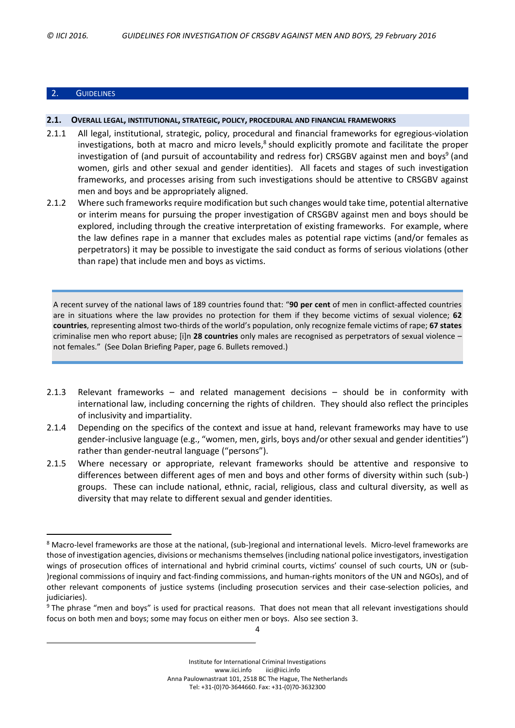# 2. GUIDELINES

 $\overline{a}$ 

#### **2.1. OVERALL LEGAL, INSTITUTIONAL, STRATEGIC, POLICY, PROCEDURAL AND FINANCIAL FRAMEWORKS**

- 2.1.1 All legal, institutional, strategic, policy, procedural and financial frameworks for egregious-violation investigations, both at macro and micro levels, $^8$  should explicitly promote and facilitate the proper investigation of (and pursuit of accountability and redress for) CRSGBV against men and boys<sup>9</sup> (and women, girls and other sexual and gender identities). All facets and stages of such investigation frameworks, and processes arising from such investigations should be attentive to CRSGBV against men and boys and be appropriately aligned.
- 2.1.2 Where such frameworks require modification but such changes would take time, potential alternative or interim means for pursuing the proper investigation of CRSGBV against men and boys should be explored, including through the creative interpretation of existing frameworks. For example, where the law defines rape in a manner that excludes males as potential rape victims (and/or females as perpetrators) it may be possible to investigate the said conduct as forms of serious violations (other than rape) that include men and boys as victims.

A recent survey of the national laws of 189 countries found that: "**90 per cent** of men in conflict-affected countries are in situations where the law provides no protection for them if they become victims of sexual violence; **62 countries**, representing almost two-thirds of the world's population, only recognize female victims of rape; **67 states** criminalise men who report abuse; [i]n **28 countries** only males are recognised as perpetrators of sexual violence – not females." (See Dolan Briefing Paper, page 6. Bullets removed.)

- 2.1.3 Relevant frameworks and related management decisions should be in conformity with international law, including concerning the rights of children. They should also reflect the principles of inclusivity and impartiality.
- <span id="page-5-0"></span>2.1.4 Depending on the specifics of the context and issue at hand, relevant frameworks may have to use gender-inclusive language (e.g., "women, men, girls, boys and/or other sexual and gender identities") rather than gender-neutral language ("persons").
- <span id="page-5-1"></span>2.1.5 Where necessary or appropriate, relevant frameworks should be attentive and responsive to differences between different ages of men and boys and other forms of diversity within such (sub-) groups. These can include national, ethnic, racial, religious, class and cultural diversity, as well as diversity that may relate to different sexual and gender identities.

4

<sup>8</sup> Macro-level frameworks are those at the national, (sub-)regional and international levels. Micro-level frameworks are those of investigation agencies, divisions or mechanisms themselves (including national police investigators, investigation wings of prosecution offices of international and hybrid criminal courts, victims' counsel of such courts, UN or (sub- )regional commissions of inquiry and fact-finding commissions, and human-rights monitors of the UN and NGOs), and of other relevant components of justice systems (including prosecution services and their case-selection policies, and judiciaries).

<sup>&</sup>lt;sup>9</sup> The phrase "men and boys" is used for practical reasons. That does not mean that all relevant investigations should focus on both men and boys; some may focus on either men or boys. Also see section 3.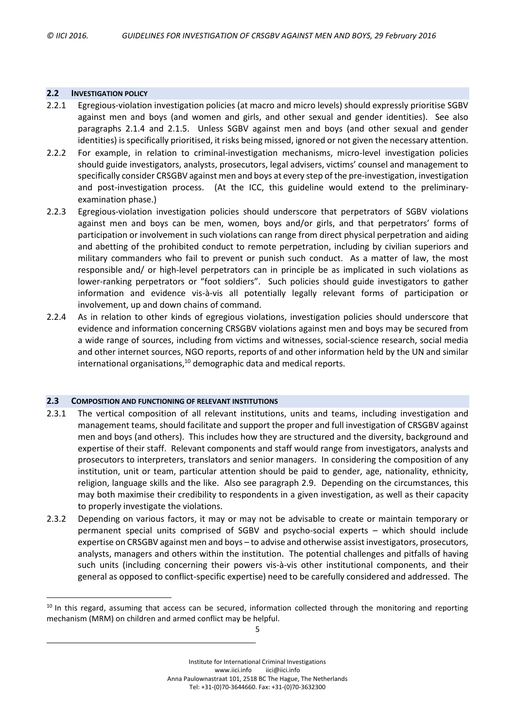#### **2.2 INVESTIGATION POLICY**

 $\overline{a}$ 

- 2.2.1 Egregious-violation investigation policies (at macro and micro levels) should expressly prioritise SGBV against men and boys (and women and girls, and other sexual and gender identities). See also paragraphs [2.1.4](#page-5-0) and [2.1.5.](#page-5-1) Unless SGBV against men and boys (and other sexual and gender identities) is specifically prioritised, it risks being missed, ignored or not given the necessary attention.
- 2.2.2 For example, in relation to criminal-investigation mechanisms, micro-level investigation policies should guide investigators, analysts, prosecutors, legal advisers, victims' counsel and management to specifically consider CRSGBV against men and boys at every step of the pre-investigation, investigation and post-investigation process. (At the ICC, this guideline would extend to the preliminaryexamination phase.)
- 2.2.3 Egregious-violation investigation policies should underscore that perpetrators of SGBV violations against men and boys can be men, women, boys and/or girls, and that perpetrators' forms of participation or involvement in such violations can range from direct physical perpetration and aiding and abetting of the prohibited conduct to remote perpetration, including by civilian superiors and military commanders who fail to prevent or punish such conduct. As a matter of law, the most responsible and/ or high-level perpetrators can in principle be as implicated in such violations as lower-ranking perpetrators or "foot soldiers". Such policies should guide investigators to gather information and evidence vis-à-vis all potentially legally relevant forms of participation or involvement, up and down chains of command.
- 2.2.4 As in relation to other kinds of egregious violations, investigation policies should underscore that evidence and information concerning CRSGBV violations against men and boys may be secured from a wide range of sources, including from victims and witnesses, social-science research, social media and other internet sources, NGO reports, reports of and other information held by the UN and similar international organisations, <sup>10</sup> demographic data and medical reports.

#### <span id="page-6-1"></span>**2.3 COMPOSITION AND FUNCTIONING OF RELEVANT INSTITUTIONS**

- <span id="page-6-0"></span>2.3.1 The vertical composition of all relevant institutions, units and teams, including investigation and management teams, should facilitate and support the proper and full investigation of CRSGBV against men and boys (and others). This includes how they are structured and the diversity, background and expertise of their staff. Relevant components and staff would range from investigators, analysts and prosecutors to interpreters, translators and senior managers. In considering the composition of any institution, unit or team, particular attention should be paid to gender, age, nationality, ethnicity, religion, language skills and the like. Also see paragraph [2.9.](#page-11-0) Depending on the circumstances, this may both maximise their credibility to respondents in a given investigation, as well as their capacity to properly investigate the violations.
- 2.3.2 Depending on various factors, it may or may not be advisable to create or maintain temporary or permanent special units comprised of SGBV and psycho-social experts – which should include expertise on CRSGBV against men and boys – to advise and otherwise assist investigators, prosecutors, analysts, managers and others within the institution. The potential challenges and pitfalls of having such units (including concerning their powers vis-à-vis other institutional components, and their general as opposed to conflict-specific expertise) need to be carefully considered and addressed. The

 $10$  In this regard, assuming that access can be secured, information collected through the monitoring and reporting mechanism (MRM) on children and armed conflict may be helpful.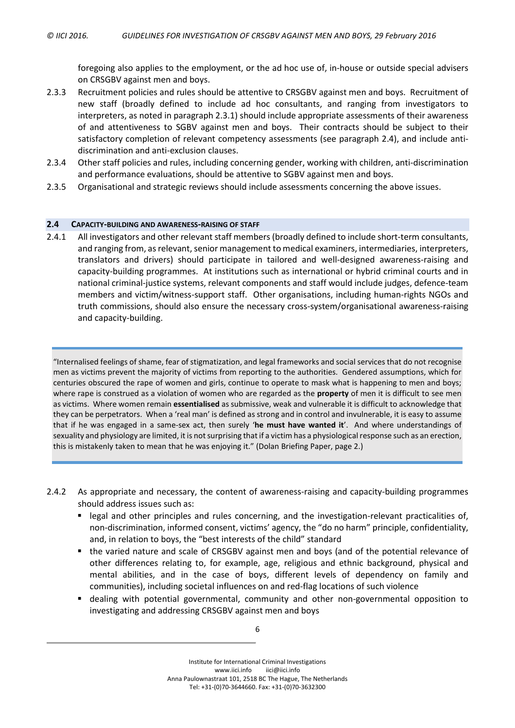foregoing also applies to the employment, or the ad hoc use of, in-house or outside special advisers on CRSGBV against men and boys.

- 2.3.3 Recruitment policies and rules should be attentive to CRSGBV against men and boys. Recruitment of new staff (broadly defined to include ad hoc consultants, and ranging from investigators to interpreters, as noted in paragraph [2.3.1\)](#page-6-0) should include appropriate assessments of their awareness of and attentiveness to SGBV against men and boys. Their contracts should be subject to their satisfactory completion of relevant competency assessments (see paragraph [2.4\)](#page-7-0), and include antidiscrimination and anti-exclusion clauses.
- 2.3.4 Other staff policies and rules, including concerning gender, working with children, anti-discrimination and performance evaluations, should be attentive to SGBV against men and boys.
- 2.3.5 Organisational and strategic reviews should include assessments concerning the above issues.

#### <span id="page-7-0"></span>**2.4 CAPACITY-BUILDING AND AWARENESS-RAISING OF STAFF**

2.4.1 All investigators and other relevant staff members (broadly defined to include short-term consultants, and ranging from, as relevant, senior management to medical examiners, intermediaries, interpreters, translators and drivers) should participate in tailored and well-designed awareness-raising and capacity-building programmes. At institutions such as international or hybrid criminal courts and in national criminal-justice systems, relevant components and staff would include judges, defence-team members and victim/witness-support staff. Other organisations, including human-rights NGOs and truth commissions, should also ensure the necessary cross-system/organisational awareness-raising and capacity-building.

"Internalised feelings of shame, fear of stigmatization, and legal frameworks and social services that do not recognise men as victims prevent the majority of victims from reporting to the authorities. Gendered assumptions, which for centuries obscured the rape of women and girls, continue to operate to mask what is happening to men and boys; where rape is construed as a violation of women who are regarded as the **property** of men it is difficult to see men as victims. Where women remain **essentialised** as submissive, weak and vulnerable it is difficult to acknowledge that they can be perpetrators. When a 'real man' is defined as strong and in control and invulnerable, it is easy to assume that if he was engaged in a same-sex act, then surely '**he must have wanted it**'. And where understandings of sexuality and physiology are limited, it is not surprising that if a victim has a physiological response such as an erection, this is mistakenly taken to mean that he was enjoying it." (Dolan Briefing Paper, page 2.)

- 2.4.2 As appropriate and necessary, the content of awareness-raising and capacity-building programmes should address issues such as:
	- legal and other principles and rules concerning, and the investigation-relevant practicalities of, non-discrimination, informed consent, victims' agency, the "do no harm" principle, confidentiality, and, in relation to boys, the "best interests of the child" standard
	- the varied nature and scale of CRSGBV against men and boys (and of the potential relevance of other differences relating to, for example, age, religious and ethnic background, physical and mental abilities, and in the case of boys, different levels of dependency on family and communities), including societal influences on and red-flag locations of such violence
	- dealing with potential governmental, community and other non-governmental opposition to investigating and addressing CRSGBV against men and boys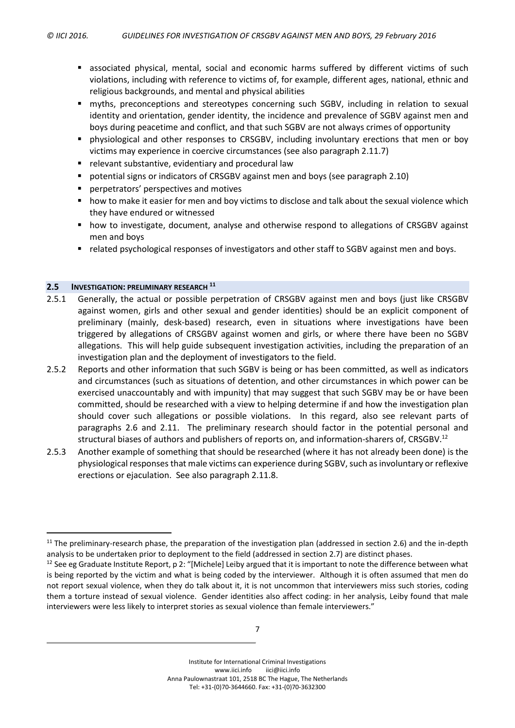- associated physical, mental, social and economic harms suffered by different victims of such violations, including with reference to victims of, for example, different ages, national, ethnic and religious backgrounds, and mental and physical abilities
- myths, preconceptions and stereotypes concerning such SGBV, including in relation to sexual identity and orientation, gender identity, the incidence and prevalence of SGBV against men and boys during peacetime and conflict, and that such SGBV are not always crimes of opportunity
- **•** physiological and other responses to CRSGBV, including involuntary erections that men or boy victims may experience in coercive circumstances (see also paragraph [2.11.7\)](#page-15-0)
- **F** relevant substantive, evidentiary and procedural law
- potential signs or indicators of CRSGBV against men and boys (see paragraph [2.10\)](#page-12-0)
- **P** perpetrators' perspectives and motives
- **how to make it easier for men and boy victims to disclose and talk about the sexual violence which** they have endured or witnessed
- how to investigate, document, analyse and otherwise respond to allegations of CRSGBV against men and boys
- related psychological responses of investigators and other staff to SGBV against men and boys.

#### <span id="page-8-1"></span>**2.5 INVESTIGATION: PRELIMINARY RESEARCH <sup>11</sup>**

 $\overline{a}$ 

- 2.5.1 Generally, the actual or possible perpetration of CRSGBV against men and boys (just like CRSGBV against women, girls and other sexual and gender identities) should be an explicit component of preliminary (mainly, desk-based) research, even in situations where investigations have been triggered by allegations of CRSGBV against women and girls, or where there have been no SGBV allegations. This will help guide subsequent investigation activities, including the preparation of an investigation plan and the deployment of investigators to the field.
- <span id="page-8-0"></span>2.5.2 Reports and other information that such SGBV is being or has been committed, as well as indicators and circumstances (such as situations of detention, and other circumstances in which power can be exercised unaccountably and with impunity) that may suggest that such SGBV may be or have been committed, should be researched with a view to helping determine if and how the investigation plan should cover such allegations or possible violations. In this regard, also see relevant parts of paragraphs [2.6](#page-9-0) and [2.11.](#page-13-0) The preliminary research should factor in the potential personal and structural biases of authors and publishers of reports on, and information-sharers of, CRSGBV.<sup>12</sup>
- 2.5.3 Another example of something that should be researched (where it has not already been done) is the physiological responses that male victims can experience during SGBV, such as involuntary or reflexive erections or ejaculation. See also paragraph [2.11.8.](#page-15-1)

 $11$  The preliminary-research phase, the preparation of the investigation plan (addressed in section [2.6\)](#page-9-0) and the in-depth analysis to be undertaken prior to deployment to the field (addressed in section [2.7\)](#page-9-1) are distinct phases.

 $12$  See eg Graduate Institute Report, p 2: "[Michele] Leiby argued that it is important to note the difference between what is being reported by the victim and what is being coded by the interviewer. Although it is often assumed that men do not report sexual violence, when they do talk about it, it is not uncommon that interviewers miss such stories, coding them a torture instead of sexual violence. Gender identities also affect coding: in her analysis, Leiby found that male interviewers were less likely to interpret stories as sexual violence than female interviewers."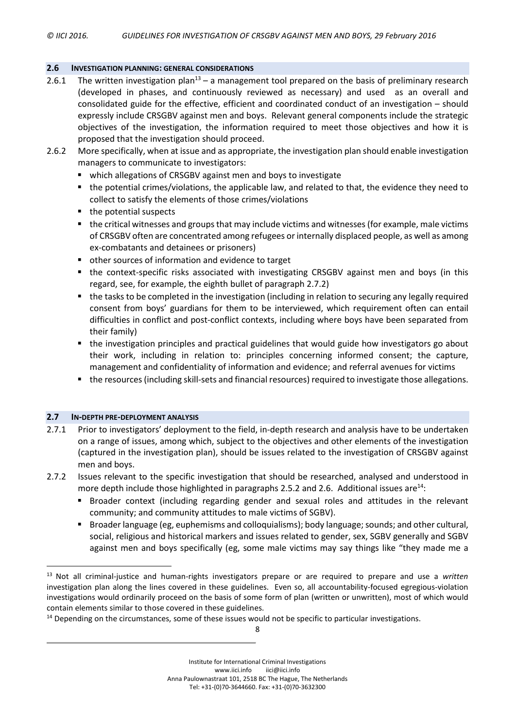#### <span id="page-9-0"></span>**2.6 INVESTIGATION PLANNING: GENERAL CONSIDERATIONS**

- 2.6.1 The written investigation plan<sup>13</sup> a management tool prepared on the basis of preliminary research (developed in phases, and continuously reviewed as necessary) and used as an overall and consolidated guide for the effective, efficient and coordinated conduct of an investigation – should expressly include CRSGBV against men and boys. Relevant general components include the strategic objectives of the investigation, the information required to meet those objectives and how it is proposed that the investigation should proceed.
- 2.6.2 More specifically, when at issue and as appropriate, the investigation plan should enable investigation managers to communicate to investigators:
	- which allegations of CRSGBV against men and boys to investigate
	- the potential crimes/violations, the applicable law, and related to that, the evidence they need to collect to satisfy the elements of those crimes/violations
	- the potential suspects
	- the critical witnesses and groups that may include victims and witnesses (for example, male victims of CRSGBV often are concentrated among refugees orinternally displaced people, as well as among ex-combatants and detainees or prisoners)
	- other sources of information and evidence to target
	- the context-specific risks associated with investigating CRSGBV against men and boys (in this regard, see, for example, the eighth bullet of paragraph [2.7.2\)](#page-9-2)
	- the tasks to be completed in the investigation (including in relation to securing any legally required consent from boys' guardians for them to be interviewed, which requirement often can entail difficulties in conflict and post-conflict contexts, including where boys have been separated from their family)
	- the investigation principles and practical guidelines that would guide how investigators go about their work, including in relation to: principles concerning informed consent; the capture, management and confidentiality of information and evidence; and referral avenues for victims
	- the resources(including skill-sets and financial resources) required to investigate those allegations.

#### <span id="page-9-1"></span>**2.7 IN-DEPTH PRE-DEPLOYMENT ANALYSIS**

 $\overline{a}$ 

- 2.7.1 Prior to investigators' deployment to the field, in-depth research and analysis have to be undertaken on a range of issues, among which, subject to the objectives and other elements of the investigation (captured in the investigation plan), should be issues related to the investigation of CRSGBV against men and boys.
- <span id="page-9-2"></span>2.7.2 Issues relevant to the specific investigation that should be researched, analysed and understood in more depth include those highlighted in paragraphs [2.5.2](#page-8-0) and [2.6.](#page-9-0) Additional issues are $^{14}$ :
	- **Broader context (including regarding gender and sexual roles and attitudes in the relevant** community; and community attitudes to male victims of SGBV).
	- **Broader language (eg, euphemisms and colloquialisms); body language; sounds; and other cultural,** social, religious and historical markers and issues related to gender, sex, SGBV generally and SGBV against men and boys specifically (eg, some male victims may say things like "they made me a

<sup>13</sup> Not all criminal-justice and human-rights investigators prepare or are required to prepare and use a *written* investigation plan along the lines covered in these guidelines. Even so, all accountability-focused egregious-violation investigations would ordinarily proceed on the basis of some form of plan (written or unwritten), most of which would contain elements similar to those covered in these guidelines.

<sup>&</sup>lt;sup>14</sup> Depending on the circumstances, some of these issues would not be specific to particular investigations.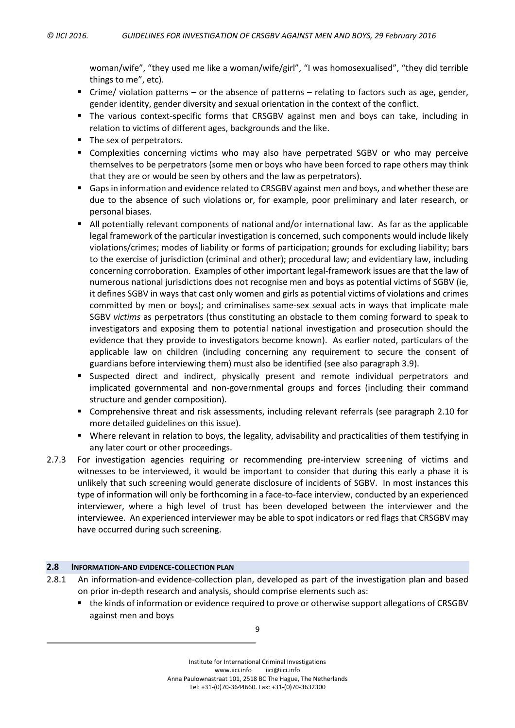woman/wife", "they used me like a woman/wife/girl", "I was homosexualised", "they did terrible things to me", etc).

- Crime/ violation patterns or the absence of patterns relating to factors such as age, gender, gender identity, gender diversity and sexual orientation in the context of the conflict.
- The various context-specific forms that CRSGBV against men and boys can take, including in relation to victims of different ages, backgrounds and the like.
- The sex of perpetrators.
- Complexities concerning victims who may also have perpetrated SGBV or who may perceive themselves to be perpetrators (some men or boys who have been forced to rape others may think that they are or would be seen by others and the law as perpetrators).
- Gaps in information and evidence related to CRSGBV against men and boys, and whether these are due to the absence of such violations or, for example, poor preliminary and later research, or personal biases.
- All potentially relevant components of national and/or international law. As far as the applicable legal framework of the particular investigation is concerned, such components would include likely violations/crimes; modes of liability or forms of participation; grounds for excluding liability; bars to the exercise of jurisdiction (criminal and other); procedural law; and evidentiary law, including concerning corroboration. Examples of other important legal-framework issues are that the law of numerous national jurisdictions does not recognise men and boys as potential victims of SGBV (ie, it defines SGBV in ways that cast only women and girls as potential victims of violations and crimes committed by men or boys); and criminalises same-sex sexual acts in ways that implicate male SGBV *victims* as perpetrators (thus constituting an obstacle to them coming forward to speak to investigators and exposing them to potential national investigation and prosecution should the evidence that they provide to investigators become known). As earlier noted, particulars of the applicable law on children (including concerning any requirement to secure the consent of guardians before interviewing them) must also be identified (see also paragraph [3.9\)](#page-18-1).
- Suspected direct and indirect, physically present and remote individual perpetrators and implicated governmental and non-governmental groups and forces (including their command structure and gender composition).
- Comprehensive threat and risk assessments, including relevant referrals (see paragraph [2.10](#page-12-0) for more detailed guidelines on this issue).
- Where relevant in relation to boys, the legality, advisability and practicalities of them testifying in any later court or other proceedings.
- <span id="page-10-0"></span>2.7.3 For investigation agencies requiring or recommending pre-interview screening of victims and witnesses to be interviewed, it would be important to consider that during this early a phase it is unlikely that such screening would generate disclosure of incidents of SGBV. In most instances this type of information will only be forthcoming in a face-to-face interview, conducted by an experienced interviewer, where a high level of trust has been developed between the interviewer and the interviewee. An experienced interviewer may be able to spot indicators or red flags that CRSGBV may have occurred during such screening.

# **2.8 INFORMATION-AND EVIDENCE-COLLECTION PLAN**

- 2.8.1 An information-and evidence-collection plan, developed as part of the investigation plan and based on prior in-depth research and analysis, should comprise elements such as:
	- the kinds of information or evidence required to prove or otherwise support allegations of CRSGBV against men and boys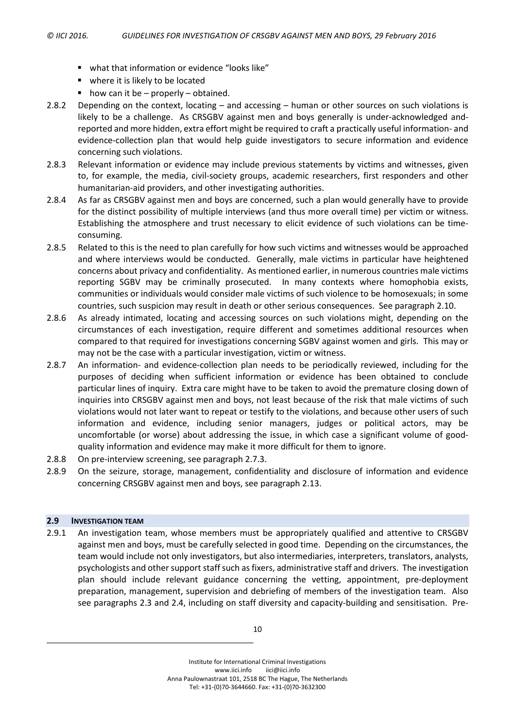- what that information or evidence "looks like"
- where it is likely to be located
- $\blacksquare$  how can it be properly obtained.
- 2.8.2 Depending on the context, locating and accessing human or other sources on such violations is likely to be a challenge. As CRSGBV against men and boys generally is under-acknowledged andreported and more hidden, extra effort might be required to craft a practically useful information- and evidence-collection plan that would help guide investigators to secure information and evidence concerning such violations.
- 2.8.3 Relevant information or evidence may include previous statements by victims and witnesses, given to, for example, the media, civil-society groups, academic researchers, first responders and other humanitarian-aid providers, and other investigating authorities.
- 2.8.4 As far as CRSGBV against men and boys are concerned, such a plan would generally have to provide for the distinct possibility of multiple interviews (and thus more overall time) per victim or witness. Establishing the atmosphere and trust necessary to elicit evidence of such violations can be timeconsuming.
- 2.8.5 Related to this is the need to plan carefully for how such victims and witnesses would be approached and where interviews would be conducted. Generally, male victims in particular have heightened concerns about privacy and confidentiality. As mentioned earlier, in numerous countries male victims reporting SGBV may be criminally prosecuted. In many contexts where homophobia exists, communities or individuals would consider male victims of such violence to be homosexuals; in some countries, such suspicion may result in death or other serious consequences. See paragraph [2.10.](#page-12-0)
- 2.8.6 As already intimated, locating and accessing sources on such violations might, depending on the circumstances of each investigation, require different and sometimes additional resources when compared to that required for investigations concerning SGBV against women and girls. This may or may not be the case with a particular investigation, victim or witness.
- 2.8.7 An information- and evidence-collection plan needs to be periodically reviewed, including for the purposes of deciding when sufficient information or evidence has been obtained to conclude particular lines of inquiry. Extra care might have to be taken to avoid the premature closing down of inquiries into CRSGBV against men and boys, not least because of the risk that male victims of such violations would not later want to repeat or testify to the violations, and because other users of such information and evidence, including senior managers, judges or political actors, may be uncomfortable (or worse) about addressing the issue, in which case a significant volume of goodquality information and evidence may make it more difficult for them to ignore.
- 2.8.8 On pre-interview screening, see paragraph [2.7.3.](#page-10-0)
- 2.8.9 On the seizure, storage, management, confidentiality and disclosure of information and evidence concerning CRSGBV against men and boys, see paragraph [2.13.](#page-16-0)

#### <span id="page-11-0"></span>**2.9 INVESTIGATION TEAM**

2.9.1 An investigation team, whose members must be appropriately qualified and attentive to CRSGBV against men and boys, must be carefully selected in good time. Depending on the circumstances, the team would include not only investigators, but also intermediaries, interpreters, translators, analysts, psychologists and other support staff such as fixers, administrative staff and drivers. The investigation plan should include relevant guidance concerning the vetting, appointment, pre-deployment preparation, management, supervision and debriefing of members of the investigation team. Also see paragraphs [2.3](#page-6-1) and [2.4,](#page-7-0) including on staff diversity and capacity-building and sensitisation. Pre-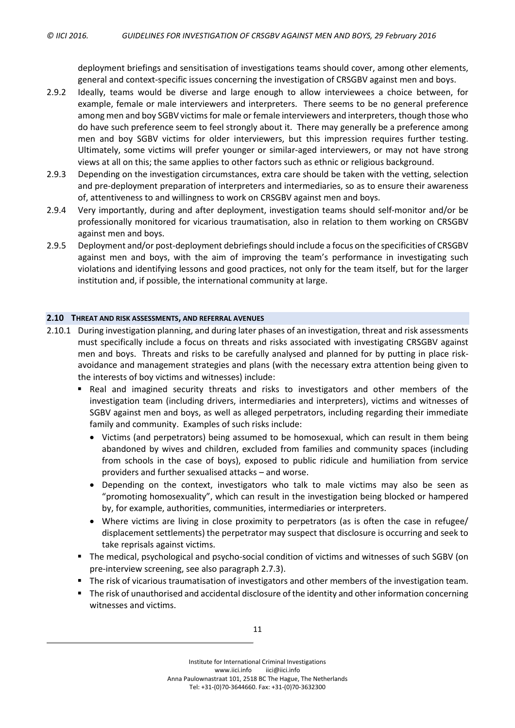deployment briefings and sensitisation of investigations teams should cover, among other elements, general and context-specific issues concerning the investigation of CRSGBV against men and boys.

- <span id="page-12-1"></span>2.9.2 Ideally, teams would be diverse and large enough to allow interviewees a choice between, for example, female or male interviewers and interpreters. There seems to be no general preference among men and boy SGBV victims for male or female interviewers and interpreters, though those who do have such preference seem to feel strongly about it. There may generally be a preference among men and boy SGBV victims for older interviewers, but this impression requires further testing. Ultimately, some victims will prefer younger or similar-aged interviewers, or may not have strong views at all on this; the same applies to other factors such as ethnic or religious background.
- 2.9.3 Depending on the investigation circumstances, extra care should be taken with the vetting, selection and pre-deployment preparation of interpreters and intermediaries, so as to ensure their awareness of, attentiveness to and willingness to work on CRSGBV against men and boys.
- 2.9.4 Very importantly, during and after deployment, investigation teams should self-monitor and/or be professionally monitored for vicarious traumatisation, also in relation to them working on CRSGBV against men and boys.
- 2.9.5 Deployment and/or post-deployment debriefings should include a focus on the specificities of CRSGBV against men and boys, with the aim of improving the team's performance in investigating such violations and identifying lessons and good practices, not only for the team itself, but for the larger institution and, if possible, the international community at large.

#### <span id="page-12-0"></span>**2.10 THREAT AND RISK ASSESSMENTS, AND REFERRAL AVENUES**

- 2.10.1 During investigation planning, and during later phases of an investigation, threat and risk assessments must specifically include a focus on threats and risks associated with investigating CRSGBV against men and boys. Threats and risks to be carefully analysed and planned for by putting in place riskavoidance and management strategies and plans (with the necessary extra attention being given to the interests of boy victims and witnesses) include:
	- **Real and imagined security threats and risks to investigators and other members of the** investigation team (including drivers, intermediaries and interpreters), victims and witnesses of SGBV against men and boys, as well as alleged perpetrators, including regarding their immediate family and community. Examples of such risks include:
		- Victims (and perpetrators) being assumed to be homosexual, which can result in them being abandoned by wives and children, excluded from families and community spaces (including from schools in the case of boys), exposed to public ridicule and humiliation from service providers and further sexualised attacks – and worse.
		- Depending on the context, investigators who talk to male victims may also be seen as "promoting homosexuality", which can result in the investigation being blocked or hampered by, for example, authorities, communities, intermediaries or interpreters.
		- Where victims are living in close proximity to perpetrators (as is often the case in refugee/ displacement settlements) the perpetrator may suspect that disclosure is occurring and seek to take reprisals against victims.
	- The medical, psychological and psycho-social condition of victims and witnesses of such SGBV (on pre-interview screening, see also paragraph [2.7.3\)](#page-10-0).
	- **The risk of vicarious traumatisation of investigators and other members of the investigation team.**
	- **The risk of unauthorised and accidental disclosure of the identity and other information concerning** witnesses and victims.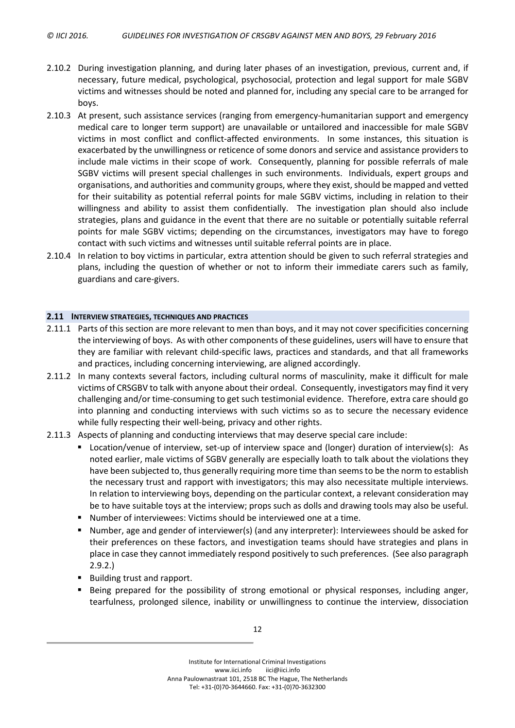- 2.10.2 During investigation planning, and during later phases of an investigation, previous, current and, if necessary, future medical, psychological, psychosocial, protection and legal support for male SGBV victims and witnesses should be noted and planned for, including any special care to be arranged for boys.
- 2.10.3 At present, such assistance services (ranging from emergency-humanitarian support and emergency medical care to longer term support) are unavailable or untailored and inaccessible for male SGBV victims in most conflict and conflict-affected environments. In some instances, this situation is exacerbated by the unwillingness or reticence of some donors and service and assistance providers to include male victims in their scope of work. Consequently, planning for possible referrals of male SGBV victims will present special challenges in such environments. Individuals, expert groups and organisations, and authorities and community groups, where they exist, should be mapped and vetted for their suitability as potential referral points for male SGBV victims, including in relation to their willingness and ability to assist them confidentially. The investigation plan should also include strategies, plans and guidance in the event that there are no suitable or potentially suitable referral points for male SGBV victims; depending on the circumstances, investigators may have to forego contact with such victims and witnesses until suitable referral points are in place.
- 2.10.4 In relation to boy victims in particular, extra attention should be given to such referral strategies and plans, including the question of whether or not to inform their immediate carers such as family, guardians and care-givers.

#### <span id="page-13-0"></span>**2.11 INTERVIEW STRATEGIES, TECHNIQUES AND PRACTICES**

- 2.11.1 Parts of this section are more relevant to men than boys, and it may not cover specificities concerning the interviewing of boys. As with other components of these guidelines, users will have to ensure that they are familiar with relevant child-specific laws, practices and standards, and that all frameworks and practices, including concerning interviewing, are aligned accordingly.
- 2.11.2 In many contexts several factors, including cultural norms of masculinity, make it difficult for male victims of CRSGBV to talk with anyone about their ordeal. Consequently, investigators may find it very challenging and/or time-consuming to get such testimonial evidence. Therefore, extra care should go into planning and conducting interviews with such victims so as to secure the necessary evidence while fully respecting their well-being, privacy and other rights.
- 2.11.3 Aspects of planning and conducting interviews that may deserve special care include:
	- Location/venue of interview, set-up of interview space and (longer) duration of interview(s): As noted earlier, male victims of SGBV generally are especially loath to talk about the violations they have been subjected to, thus generally requiring more time than seemsto be the norm to establish the necessary trust and rapport with investigators; this may also necessitate multiple interviews. In relation to interviewing boys, depending on the particular context, a relevant consideration may be to have suitable toys at the interview; props such as dolls and drawing tools may also be useful.
	- Number of interviewees: Victims should be interviewed one at a time.
	- Number, age and gender of interviewer(s) (and any interpreter): Interviewees should be asked for their preferences on these factors, and investigation teams should have strategies and plans in place in case they cannot immediately respond positively to such preferences. (See also paragraph [2.9.2.](#page-12-1))
	- Building trust and rapport.
	- Being prepared for the possibility of strong emotional or physical responses, including anger, tearfulness, prolonged silence, inability or unwillingness to continue the interview, dissociation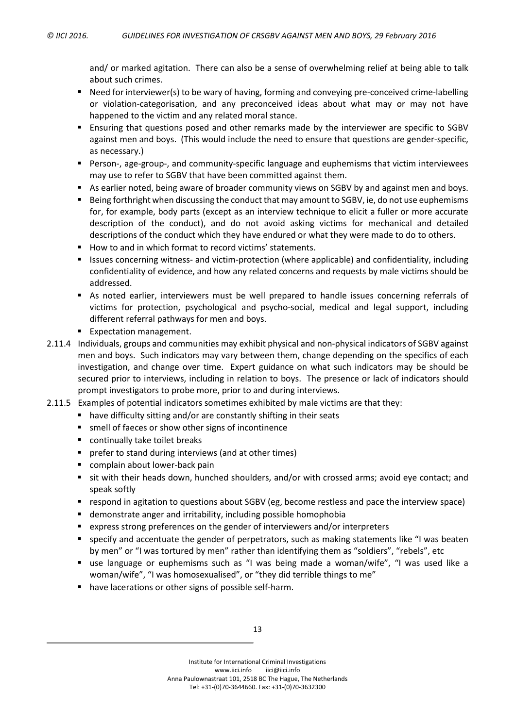and/ or marked agitation. There can also be a sense of overwhelming relief at being able to talk about such crimes.

- Need for interviewer(s) to be wary of having, forming and conveying pre-conceived crime-labelling or violation-categorisation, and any preconceived ideas about what may or may not have happened to the victim and any related moral stance.
- Ensuring that questions posed and other remarks made by the interviewer are specific to SGBV against men and boys. (This would include the need to ensure that questions are gender-specific, as necessary.)
- Person-, age-group-, and community-specific language and euphemisms that victim interviewees may use to refer to SGBV that have been committed against them.
- As earlier noted, being aware of broader community views on SGBV by and against men and boys.
- Being forthright when discussing the conduct that may amount to SGBV, ie, do not use euphemisms for, for example, body parts (except as an interview technique to elicit a fuller or more accurate description of the conduct), and do not avoid asking victims for mechanical and detailed descriptions of the conduct which they have endured or what they were made to do to others.
- How to and in which format to record victims' statements.
- Issues concerning witness- and victim-protection (where applicable) and confidentiality, including confidentiality of evidence, and how any related concerns and requests by male victims should be addressed.
- As noted earlier, interviewers must be well prepared to handle issues concerning referrals of victims for protection, psychological and psycho-social, medical and legal support, including different referral pathways for men and boys.
- **Expectation management.**
- 2.11.4 Individuals, groups and communities may exhibit physical and non-physical indicators of SGBV against men and boys. Such indicators may vary between them, change depending on the specifics of each investigation, and change over time. Expert guidance on what such indicators may be should be secured prior to interviews, including in relation to boys. The presence or lack of indicators should prompt investigators to probe more, prior to and during interviews.
- 2.11.5 Examples of potential indicators sometimes exhibited by male victims are that they:
	- have difficulty sitting and/or are constantly shifting in their seats
	- smell of faeces or show other signs of incontinence
	- continually take toilet breaks
	- **P** prefer to stand during interviews (and at other times)
	- complain about lower-back pain
	- sit with their heads down, hunched shoulders, and/or with crossed arms; avoid eye contact; and speak softly
	- respond in agitation to questions about SGBV (eg, become restless and pace the interview space)
	- demonstrate anger and irritability, including possible homophobia
	- express strong preferences on the gender of interviewers and/or interpreters
	- specify and accentuate the gender of perpetrators, such as making statements like "I was beaten by men" or "I was tortured by men" rather than identifying them as "soldiers", "rebels", etc
	- use language or euphemisms such as "I was being made a woman/wife", "I was used like a woman/wife", "I was homosexualised", or "they did terrible things to me"
	- have lacerations or other signs of possible self-harm.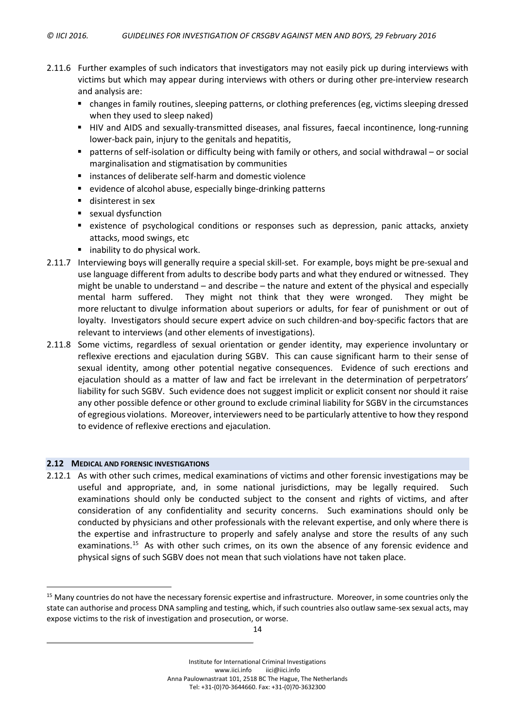- 2.11.6 Further examples of such indicators that investigators may not easily pick up during interviews with victims but which may appear during interviews with others or during other pre-interview research and analysis are:
	- changes in family routines, sleeping patterns, or clothing preferences (eg, victims sleeping dressed when they used to sleep naked)
	- HIV and AIDS and sexually-transmitted diseases, anal fissures, faecal incontinence, long-running lower-back pain, injury to the genitals and hepatitis,
	- patterns of self-isolation or difficulty being with family or others, and social withdrawal or social marginalisation and stigmatisation by communities
	- **EXTERCH instances of deliberate self-harm and domestic violence**
	- evidence of alcohol abuse, especially binge-drinking patterns
	- disinterest in sex
	- **s** sexual dysfunction
	- existence of psychological conditions or responses such as depression, panic attacks, anxiety attacks, mood swings, etc
	- **E** inability to do physical work.
- <span id="page-15-0"></span>2.11.7 Interviewing boys will generally require a special skill-set. For example, boys might be pre-sexual and use language different from adults to describe body parts and what they endured or witnessed. They might be unable to understand – and describe – the nature and extent of the physical and especially mental harm suffered. They might not think that they were wronged. They might be more reluctant to divulge information about superiors or adults, for fear of punishment or out of loyalty. Investigators should secure expert advice on such children-and boy-specific factors that are relevant to interviews (and other elements of investigations).
- <span id="page-15-1"></span>2.11.8 Some victims, regardless of sexual orientation or gender identity, may experience involuntary or reflexive erections and ejaculation during SGBV. This can cause significant harm to their sense of sexual identity, among other potential negative consequences. Evidence of such erections and ejaculation should as a matter of law and fact be irrelevant in the determination of perpetrators' liability for such SGBV. Such evidence does not suggest implicit or explicit consent nor should it raise any other possible defence or other ground to exclude criminal liability for SGBV in the circumstances of egregious violations. Moreover, interviewers need to be particularly attentive to how they respond to evidence of reflexive erections and ejaculation.

#### **2.12 MEDICAL AND FORENSIC INVESTIGATIONS**

 $\overline{a}$ 

2.12.1 As with other such crimes, medical examinations of victims and other forensic investigations may be useful and appropriate, and, in some national jurisdictions, may be legally required. Such examinations should only be conducted subject to the consent and rights of victims, and after consideration of any confidentiality and security concerns. Such examinations should only be conducted by physicians and other professionals with the relevant expertise, and only where there is the expertise and infrastructure to properly and safely analyse and store the results of any such examinations.<sup>15</sup> As with other such crimes, on its own the absence of any forensic evidence and physical signs of such SGBV does not mean that such violations have not taken place.

<sup>&</sup>lt;sup>15</sup> Many countries do not have the necessary forensic expertise and infrastructure. Moreover, in some countries only the state can authorise and process DNA sampling and testing, which, if such countries also outlaw same-sex sexual acts, may expose victims to the risk of investigation and prosecution, or worse.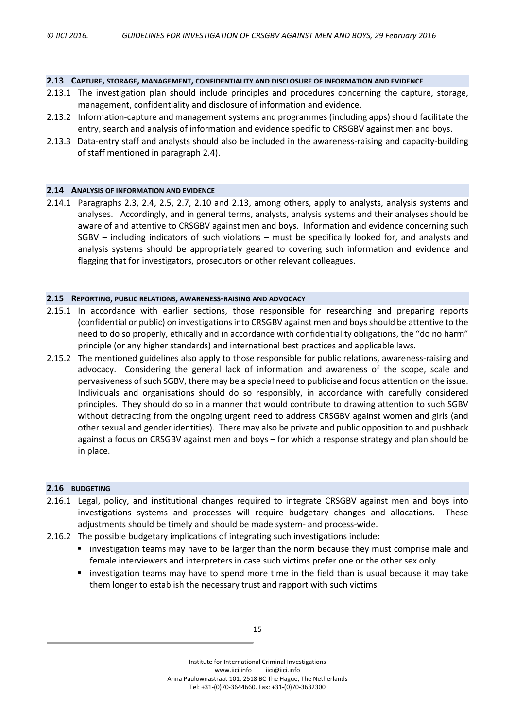#### <span id="page-16-0"></span>**2.13 CAPTURE, STORAGE, MANAGEMENT, CONFIDENTIALITY AND DISCLOSURE OF INFORMATION AND EVIDENCE**

- 2.13.1 The investigation plan should include principles and procedures concerning the capture, storage, management, confidentiality and disclosure of information and evidence.
- 2.13.2 Information-capture and management systems and programmes (including apps) should facilitate the entry, search and analysis of information and evidence specific to CRSGBV against men and boys.
- 2.13.3 Data-entry staff and analysts should also be included in the awareness-raising and capacity-building of staff mentioned in paragraph [2.4\)](#page-7-0).

#### **2.14 ANALYSIS OF INFORMATION AND EVIDENCE**

2.14.1 Paragraphs [2.3,](#page-6-1) [2.4,](#page-7-0) [2.5,](#page-8-1) [2.7,](#page-9-1) [2.10](#page-12-0) and [2.13,](#page-16-0) among others, apply to analysts, analysis systems and analyses. Accordingly, and in general terms, analysts, analysis systems and their analyses should be aware of and attentive to CRSGBV against men and boys. Information and evidence concerning such SGBV – including indicators of such violations – must be specifically looked for, and analysts and analysis systems should be appropriately geared to covering such information and evidence and flagging that for investigators, prosecutors or other relevant colleagues.

#### **2.15 REPORTING, PUBLIC RELATIONS, AWARENESS-RAISING AND ADVOCACY**

- 2.15.1 In accordance with earlier sections, those responsible for researching and preparing reports (confidential or public) on investigationsinto CRSGBV against men and boysshould be attentive to the need to do so properly, ethically and in accordance with confidentiality obligations, the "do no harm" principle (or any higher standards) and international best practices and applicable laws.
- 2.15.2 The mentioned guidelines also apply to those responsible for public relations, awareness-raising and advocacy. Considering the general lack of information and awareness of the scope, scale and pervasiveness ofsuch SGBV, there may be a special need to publicise and focus attention on the issue. Individuals and organisations should do so responsibly, in accordance with carefully considered principles. They should do so in a manner that would contribute to drawing attention to such SGBV without detracting from the ongoing urgent need to address CRSGBV against women and girls (and other sexual and gender identities). There may also be private and public opposition to and pushback against a focus on CRSGBV against men and boys – for which a response strategy and plan should be in place.

# **2.16 BUDGETING**

- 2.16.1 Legal, policy, and institutional changes required to integrate CRSGBV against men and boys into investigations systems and processes will require budgetary changes and allocations. These adjustments should be timely and should be made system- and process-wide.
- 2.16.2 The possible budgetary implications of integrating such investigations include:
	- **Investigation teams may have to be larger than the norm because they must comprise male and** female interviewers and interpreters in case such victims prefer one or the other sex only
	- investigation teams may have to spend more time in the field than is usual because it may take them longer to establish the necessary trust and rapport with such victims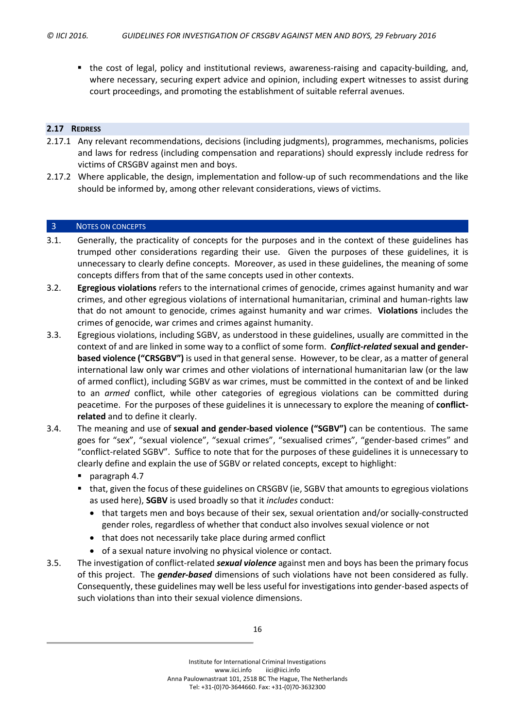the cost of legal, policy and institutional reviews, awareness-raising and capacity-building, and, where necessary, securing expert advice and opinion, including expert witnesses to assist during court proceedings, and promoting the establishment of suitable referral avenues.

#### **2.17 REDRESS**

- 2.17.1 Any relevant recommendations, decisions (including judgments), programmes, mechanisms, policies and laws for redress (including compensation and reparations) should expressly include redress for victims of CRSGBV against men and boys.
- 2.17.2 Where applicable, the design, implementation and follow-up of such recommendations and the like should be informed by, among other relevant considerations, views of victims.

#### <span id="page-17-0"></span>3 NOTES ON CONCEPTS

- 3.1. Generally, the practicality of concepts for the purposes and in the context of these guidelines has trumped other considerations regarding their use. Given the purposes of these guidelines, it is unnecessary to clearly define concepts. Moreover, as used in these guidelines, the meaning of some concepts differs from that of the same concepts used in other contexts.
- 3.2. **Egregious violations** refers to the international crimes of genocide, crimes against humanity and war crimes, and other egregious violations of international humanitarian, criminal and human-rights law that do not amount to genocide, crimes against humanity and war crimes. **Violations** includes the crimes of genocide, war crimes and crimes against humanity.
- 3.3. Egregious violations, including SGBV, as understood in these guidelines, usually are committed in the context of and are linked in some way to a conflict of some form. *Conflict-related* **sexual and genderbased violence ("CRSGBV")** is used in that general sense. However, to be clear, as a matter of general international law only war crimes and other violations of international humanitarian law (or the law of armed conflict), including SGBV as war crimes, must be committed in the context of and be linked to an *armed* conflict, while other categories of egregious violations can be committed during peacetime. For the purposes of these guidelines it is unnecessary to explore the meaning of **conflictrelated** and to define it clearly.
- 3.4. The meaning and use of **sexual and gender-based violence ("SGBV")** can be contentious. The same goes for "sex", "sexual violence", "sexual crimes", "sexualised crimes", "gender-based crimes" and "conflict-related SGBV". Suffice to note that for the purposes of these guidelines it is unnecessary to clearly define and explain the use of SGBV or related concepts, except to highlight:
	- paragraph [4.7](#page-19-1)
	- that, given the focus of these guidelines on CRSGBV (ie, SGBV that amounts to egregious violations as used here), **SGBV** is used broadly so that it *includes* conduct:
		- that targets men and boys because of their sex, sexual orientation and/or socially-constructed gender roles, regardless of whether that conduct also involves sexual violence or not
		- that does not necessarily take place during armed conflict
		- of a sexual nature involving no physical violence or contact.
- 3.5. The investigation of conflict-related *sexual violence* against men and boys has been the primary focus of this project. The *gender-based* dimensions of such violations have not been considered as fully. Consequently, these guidelines may well be less useful for investigations into gender-based aspects of such violations than into their sexual violence dimensions.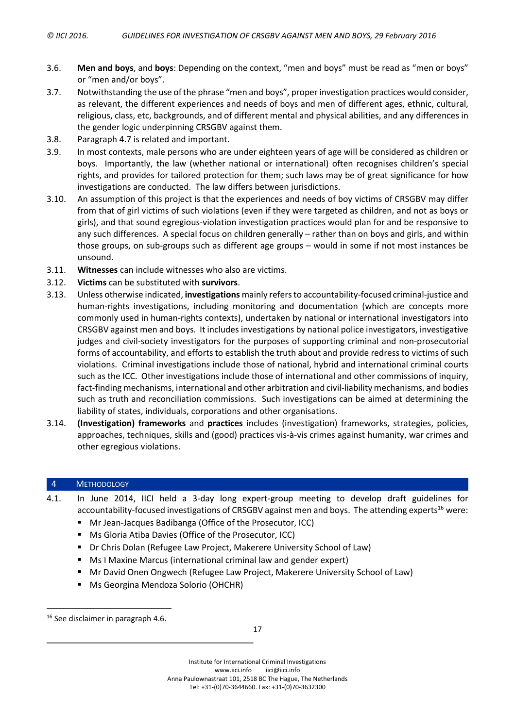- <span id="page-18-2"></span>3.6. **Men and boys**, and **boys**: Depending on the context, "men and boys" must be read as "men or boys" or "men and/or boys".
- 3.7. Notwithstanding the use of the phrase "men and boys", proper investigation practices would consider, as relevant, the different experiences and needs of boys and men of different ages, ethnic, cultural, religious, class, etc, backgrounds, and of different mental and physical abilities, and any differences in the gender logic underpinning CRSGBV against them.
- 3.8. Paragraph [4.7](#page-19-1) is related and important.
- <span id="page-18-1"></span>3.9. In most contexts, male persons who are under eighteen years of age will be considered as children or boys. Importantly, the law (whether national or international) often recognises children's special rights, and provides for tailored protection for them; such laws may be of great significance for how investigations are conducted. The law differs between jurisdictions.
- 3.10. An assumption of this project is that the experiences and needs of boy victims of CRSGBV may differ from that of girl victims of such violations (even if they were targeted as children, and not as boys or girls), and that sound egregious-violation investigation practices would plan for and be responsive to any such differences. A special focus on children generally – rather than on boys and girls, and within those groups, on sub-groups such as different age groups – would in some if not most instances be unsound.
- 3.11. **Witnesses** can include witnesses who also are victims.
- 3.12. **Victims** can be substituted with **survivors**.
- 3.13. Unless otherwise indicated, **investigations** mainly refersto accountability-focused criminal-justice and human-rights investigations, including monitoring and documentation (which are concepts more commonly used in human-rights contexts), undertaken by national or international investigators into CRSGBV against men and boys. It includes investigations by national police investigators, investigative judges and civil-society investigators for the purposes of supporting criminal and non-prosecutorial forms of accountability, and efforts to establish the truth about and provide redress to victims of such violations. Criminal investigations include those of national, hybrid and international criminal courts such as the ICC. Other investigations include those of international and other commissions of inquiry, fact-finding mechanisms, international and other arbitration and civil-liability mechanisms, and bodies such as truth and reconciliation commissions. Such investigations can be aimed at determining the liability of states, individuals, corporations and other organisations.
- 3.14. **(Investigation) frameworks** and **practices** includes (investigation) frameworks, strategies, policies, approaches, techniques, skills and (good) practices vis-à-vis crimes against humanity, war crimes and other egregious violations.

# <span id="page-18-0"></span>4 METHODOLOGY

- 4.1. In June 2014, IICI held a 3-day long expert-group meeting to develop draft guidelines for accountability-focused investigations of CRSGBV against men and boys. The attending experts<sup>16</sup> were:
	- Mr Jean-Jacques Badibanga (Office of the Prosecutor, ICC)
	- Ms Gloria Atiba Davies (Office of the Prosecutor, ICC)
	- Dr Chris Dolan (Refugee Law Project, Makerere University School of Law)
	- Ms I Maxine Marcus (international criminal law and gender expert)
	- **Mr David Onen Ongwech (Refugee Law Project, Makerere University School of Law)**
	- **Ms Georgina Mendoza Solorio (OHCHR)**

 $\overline{a}$ 

<sup>&</sup>lt;sup>16</sup> See disclaimer in paragraph [4.6.](#page-19-2)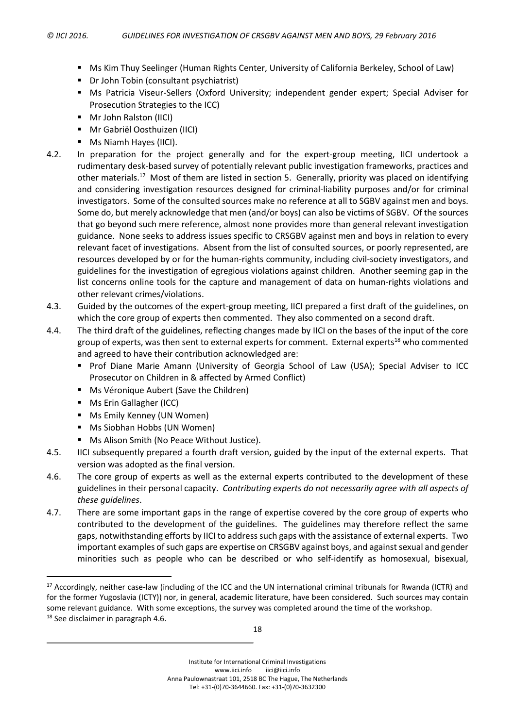- Ms Kim Thuy Seelinger (Human Rights Center, University of California Berkeley, School of Law)
- Dr John Tobin (consultant psychiatrist)
- Ms Patricia Viseur-Sellers (Oxford University; independent gender expert; Special Adviser for Prosecution Strategies to the ICC)
- Mr John Ralston (IICI)
- Mr Gabriël Oosthuizen (IICI)
- **Ms Niamh Hayes (IICI).**
- <span id="page-19-0"></span>4.2. In preparation for the project generally and for the expert-group meeting, IICI undertook a rudimentary desk-based survey of potentially relevant public investigation frameworks, practices and other materials.<sup>17</sup> Most of them are listed in section [5.](#page-20-0) Generally, priority was placed on identifying and considering investigation resources designed for criminal-liability purposes and/or for criminal investigators. Some of the consulted sources make no reference at all to SGBV against men and boys. Some do, but merely acknowledge that men (and/or boys) can also be victims of SGBV. Of the sources that go beyond such mere reference, almost none provides more than general relevant investigation guidance. None seeks to address issues specific to CRSGBV against men and boys in relation to every relevant facet of investigations. Absent from the list of consulted sources, or poorly represented, are resources developed by or for the human-rights community, including civil-society investigators, and guidelines for the investigation of egregious violations against children. Another seeming gap in the list concerns online tools for the capture and management of data on human-rights violations and other relevant crimes/violations.
- 4.3. Guided by the outcomes of the expert-group meeting, IICI prepared a first draft of the guidelines, on which the core group of experts then commented. They also commented on a second draft.
- 4.4. The third draft of the guidelines, reflecting changes made by IICI on the bases of the input of the core group of experts, was then sent to external experts for comment. External experts<sup>18</sup> who commented and agreed to have their contribution acknowledged are:
	- **Prof Diane Marie Amann (University of Georgia School of Law (USA); Special Adviser to ICC** Prosecutor on Children in & affected by Armed Conflict)
	- **Ms Véronique Aubert (Save the Children)**
	- **Ms Erin Gallagher (ICC)**

 $\overline{a}$ 

- **Ms Emily Kenney (UN Women)**
- Ms Siobhan Hobbs (UN Women)
- **Ms Alison Smith (No Peace Without Justice).**
- 4.5. IICI subsequently prepared a fourth draft version, guided by the input of the external experts. That version was adopted as the final version.
- <span id="page-19-2"></span>4.6. The core group of experts as well as the external experts contributed to the development of these guidelines in their personal capacity. *Contributing experts do not necessarily agree with all aspects of these guidelines*.
- <span id="page-19-1"></span>4.7. There are some important gaps in the range of expertise covered by the core group of experts who contributed to the development of the guidelines. The guidelines may therefore reflect the same gaps, notwithstanding efforts by IICI to addresssuch gaps with the assistance of external experts. Two important examples of such gaps are expertise on CRSGBV against boys, and against sexual and gender minorities such as people who can be described or who self-identify as homosexual, bisexual,

<sup>&</sup>lt;sup>17</sup> Accordingly, neither case-law (including of the ICC and the UN international criminal tribunals for Rwanda (ICTR) and for the former Yugoslavia (ICTY)) nor, in general, academic literature, have been considered. Such sources may contain some relevant guidance. With some exceptions, the survey was completed around the time of the workshop. <sup>18</sup> See disclaimer in paragraph [4.6.](#page-19-2)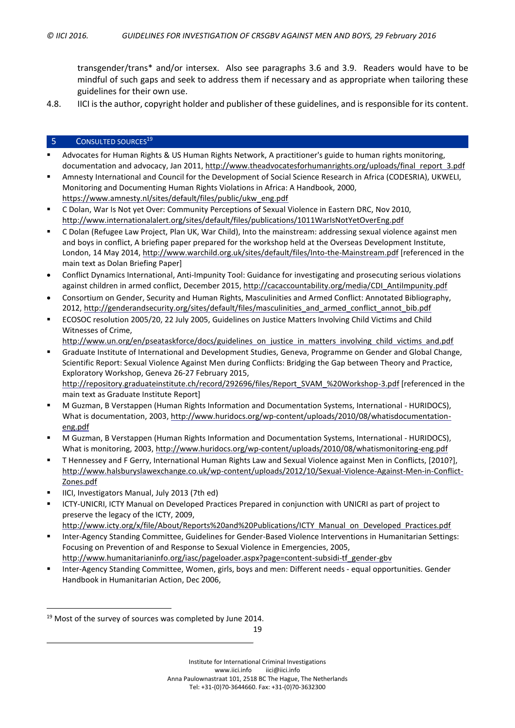transgender/trans\* and/or intersex. Also see paragraphs [3.6](#page-18-2) and [3.9.](#page-18-1) Readers would have to be mindful of such gaps and seek to address them if necessary and as appropriate when tailoring these guidelines for their own use.

4.8. IICI is the author, copyright holder and publisher of these guidelines, and is responsible for its content.

# <span id="page-20-0"></span>5 CONSULTED SOURCES<sup>19</sup>

- Advocates for Human Rights & US Human Rights Network, A practitioner's guide to human rights monitoring, documentation and advocacy, Jan 2011, [http://www.theadvocatesforhumanrights.org/uploads/final\\_report\\_3.pdf](http://www.theadvocatesforhumanrights.org/uploads/final_report_3.pdf)
- Amnesty International and Council for the Development of Social Science Research in Africa (CODESRIA), UKWELI, Monitoring and Documenting Human Rights Violations in Africa: A Handbook, 2000, [https://www.amnesty.nl/sites/default/files/public/ukw\\_eng.pdf](https://www.amnesty.nl/sites/default/files/public/ukw_eng.pdf)
- C Dolan, War Is Not yet Over: Community Perceptions of Sexual Violence in Eastern DRC, Nov 2010, <http://www.internationalalert.org/sites/default/files/publications/1011WarIsNotYetOverEng.pdf>
- C Dolan (Refugee Law Project, Plan UK, War Child), Into the mainstream: addressing sexual violence against men and boys in conflict, A briefing paper prepared for the workshop held at the Overseas Development Institute, London, 14 May 2014, <http://www.warchild.org.uk/sites/default/files/Into-the-Mainstream.pdf> [referenced in the main text as Dolan Briefing Paper]
- Conflict Dynamics International, Anti-Impunity Tool: Guidance for investigating and prosecuting serious violations against children in armed conflict, December 2015, [http://cacaccountability.org/media/CDI\\_AntiImpunity.pdf](http://cacaccountability.org/media/CDI_AntiImpunity.pdf)
- Consortium on Gender, Security and Human Rights, Masculinities and Armed Conflict: Annotated Bibliography, 2012, [http://genderandsecurity.org/sites/default/files/masculinities\\_and\\_armed\\_conflict\\_annot\\_bib.pdf](http://genderandsecurity.org/sites/default/files/masculinities_and_armed_conflict_annot_bib.pdf)
- ECOSOC resolution 2005/20, 22 July 2005, Guidelines on Justice Matters Involving Child Victims and Child Witnesses of Crime,
	- [http://www.un.org/en/pseataskforce/docs/guidelines\\_on\\_justice\\_in\\_matters\\_involving\\_child\\_victims\\_and.pdf](http://www.un.org/en/pseataskforce/docs/guidelines_on_justice_in_matters_involving_child_victims_and.pdf)
- Graduate Institute of International and Development Studies, Geneva, Programme on Gender and Global Change, Scientific Report: Sexual Violence Against Men during Conflicts: Bridging the Gap between Theory and Practice, Exploratory Workshop, Geneva 26-27 February 2015, [http://repository.graduateinstitute.ch/record/292696/files/Report\\_SVAM\\_%20Workshop-3.pdf](http://repository.graduateinstitute.ch/record/292696/files/Report_SVAM_%20Workshop-3.pdf) [referenced in the main text as Graduate Institute Report]
- M Guzman, B Verstappen (Human Rights Information and Documentation Systems, International HURIDOCS), What is documentation, 2003, [http://www.huridocs.org/wp-content/uploads/2010/08/whatisdocumentation](http://www.huridocs.org/wp-content/uploads/2010/08/whatisdocumentation-eng.pdf)[eng.pdf](http://www.huridocs.org/wp-content/uploads/2010/08/whatisdocumentation-eng.pdf)
- M Guzman, B Verstappen (Human Rights Information and Documentation Systems, International HURIDOCS), What is monitoring, 2003, <http://www.huridocs.org/wp-content/uploads/2010/08/whatismonitoring-eng.pdf>
- T Hennessey and F Gerry, International Human Rights Law and Sexual Violence against Men in Conflicts, [2010?], [http://www.halsburyslawexchange.co.uk/wp-content/uploads/2012/10/Sexual-Violence-Against-Men-in-Conflict-](http://www.halsburyslawexchange.co.uk/wp-content/uploads/2012/10/Sexual-Violence-Against-Men-in-Conflict-Zones.pdf)[Zones.pdf](http://www.halsburyslawexchange.co.uk/wp-content/uploads/2012/10/Sexual-Violence-Against-Men-in-Conflict-Zones.pdf)
- IICI, Investigators Manual, July 2013 (7th ed)

 $\overline{a}$ 

- ICTY-UNICRI, ICTY Manual on Developed Practices Prepared in conjunction with UNICRI as part of project to preserve the legacy of the ICTY, 2009,
	- [http://www.icty.org/x/file/About/Reports%20and%20Publications/ICTY\\_Manual\\_on\\_Developed\\_Practices.pdf](http://www.icty.org/x/file/About/Reports%20and%20Publications/ICTY_Manual_on_Developed_Practices.pdf)
- Inter-Agency Standing Committee, Guidelines for Gender-Based Violence Interventions in Humanitarian Settings: Focusing on Prevention of and Response to Sexual Violence in Emergencies, 2005, [http://www.humanitarianinfo.org/iasc/pageloader.aspx?page=content-subsidi-tf\\_gender-gbv](http://www.humanitarianinfo.org/iasc/pageloader.aspx?page=content-subsidi-tf_gender-gbv)
- Inter-Agency Standing Committee, Women, girls, boys and men: Different needs equal opportunities. Gender Handbook in Humanitarian Action, Dec 2006,

19

<sup>&</sup>lt;sup>19</sup> Most of the survey of sources was completed by June 2014.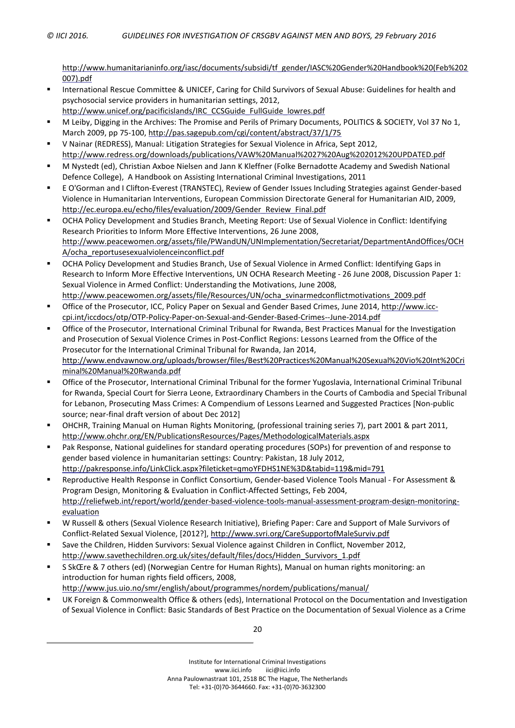[http://www.humanitarianinfo.org/iasc/documents/subsidi/tf\\_gender/IASC%20Gender%20Handbook%20\(Feb%202](http://www.humanitarianinfo.org/iasc/documents/subsidi/tf_gender/IASC%20Gender%20Handbook%20(Feb%202007).pdf) [007\).pdf](http://www.humanitarianinfo.org/iasc/documents/subsidi/tf_gender/IASC%20Gender%20Handbook%20(Feb%202007).pdf)

- International Rescue Committee & UNICEF, Caring for Child Survivors of Sexual Abuse: Guidelines for health and psychosocial service providers in humanitarian settings, 2012, [http://www.unicef.org/pacificislands/IRC\\_CCSGuide\\_FullGuide\\_lowres.pdf](http://www.unicef.org/pacificislands/IRC_CCSGuide_FullGuide_lowres.pdf)
- M Leiby, Digging in the Archives: The Promise and Perils of Primary Documents, POLITICS & SOCIETY, Vol 37 No 1, March 2009, pp 75-100, <http://pas.sagepub.com/cgi/content/abstract/37/1/75>
- V Nainar (REDRESS), Manual: Litigation Strategies for Sexual Violence in Africa, Sept 2012, <http://www.redress.org/downloads/publications/VAW%20Manual%2027%20Aug%202012%20UPDATED.pdf>
- M Nystedt (ed), Christian Axboe Nielsen and Jann K Kleffner (Folke Bernadotte Academy and Swedish National Defence College), A Handbook on Assisting International Criminal Investigations, 2011
- E O'Gorman and I Clifton-Everest (TRANSTEC), Review of Gender Issues Including Strategies against Gender-based Violence in Humanitarian Interventions, European Commission Directorate General for Humanitarian AID, 2009, [http://ec.europa.eu/echo/files/evaluation/2009/Gender\\_Review\\_Final.pdf](http://ec.europa.eu/echo/files/evaluation/2009/Gender_Review_Final.pdf)
- OCHA Policy Development and Studies Branch, Meeting Report: Use of Sexual Violence in Conflict: Identifying Research Priorities to Inform More Effective Interventions, 26 June 2008, [http://www.peacewomen.org/assets/file/PWandUN/UNImplementation/Secretariat/DepartmentAndOffices/OCH](http://www.peacewomen.org/assets/file/PWandUN/UNImplementation/Secretariat/DepartmentAndOffices/OCHA/ocha_reportusesexualviolenceinconflict.pdf) [A/ocha\\_reportusesexualviolenceinconflict.pdf](http://www.peacewomen.org/assets/file/PWandUN/UNImplementation/Secretariat/DepartmentAndOffices/OCHA/ocha_reportusesexualviolenceinconflict.pdf)
- OCHA Policy Development and Studies Branch, Use of Sexual Violence in Armed Conflict: Identifying Gaps in Research to Inform More Effective Interventions, UN OCHA Research Meeting - 26 June 2008, Discussion Paper 1: Sexual Violence in Armed Conflict: Understanding the Motivations, June 2008, [http://www.peacewomen.org/assets/file/Resources/UN/ocha\\_svinarmedconflictmotivations\\_2009.pdf](http://www.peacewomen.org/assets/file/Resources/UN/ocha_svinarmedconflictmotivations_2009.pdf)
- Office of the Prosecutor, ICC, Policy Paper on Sexual and Gender Based Crimes, June 2014, [http://www.icc](http://www.icc-cpi.int/iccdocs/otp/OTP-Policy-Paper-on-Sexual-and-Gender-Based-Crimes--June-2014.pdf)[cpi.int/iccdocs/otp/OTP-Policy-Paper-on-Sexual-and-Gender-Based-Crimes--June-2014.pdf](http://www.icc-cpi.int/iccdocs/otp/OTP-Policy-Paper-on-Sexual-and-Gender-Based-Crimes--June-2014.pdf)
- Office of the Prosecutor, International Criminal Tribunal for Rwanda, Best Practices Manual for the Investigation and Prosecution of Sexual Violence Crimes in Post-Conflict Regions: Lessons Learned from the Office of the Prosecutor for the International Criminal Tribunal for Rwanda, Jan 2014, [http://www.endvawnow.org/uploads/browser/files/Best%20Practices%20Manual%20Sexual%20Vio%20Int%20Cri](http://www.endvawnow.org/uploads/browser/files/Best%20Practices%20Manual%20Sexual%20Vio%20Int%20Criminal%20Manual%20Rwanda.pdf) [minal%20Manual%20Rwanda.pdf](http://www.endvawnow.org/uploads/browser/files/Best%20Practices%20Manual%20Sexual%20Vio%20Int%20Criminal%20Manual%20Rwanda.pdf)
- Office of the Prosecutor, International Criminal Tribunal for the former Yugoslavia, International Criminal Tribunal for Rwanda, Special Court for Sierra Leone, Extraordinary Chambers in the Courts of Cambodia and Special Tribunal for Lebanon, Prosecuting Mass Crimes: A Compendium of Lessons Learned and Suggested Practices [Non-public source; near-final draft version of about Dec 2012]
- OHCHR, Training Manual on Human Rights Monitoring, (professional training series 7), part 2001 & part 2011, <http://www.ohchr.org/EN/PublicationsResources/Pages/MethodologicalMaterials.aspx>
- Pak Response, National guidelines for standard operating procedures (SOPs) for prevention of and response to gender based violence in humanitarian settings: Country: Pakistan, 18 July 2012, <http://pakresponse.info/LinkClick.aspx?fileticket=qmoYFDHS1NE%3D&tabid=119&mid=791>
- Reproductive Health Response in Conflict Consortium, Gender-based Violence Tools Manual For Assessment & Program Design, Monitoring & Evaluation in Conflict-Affected Settings, Feb 2004, [http://reliefweb.int/report/world/gender-based-violence-tools-manual-assessment-program-design-monitoring](http://reliefweb.int/report/world/gender-based-violence-tools-manual-assessment-program-design-monitoring-evaluation)[evaluation](http://reliefweb.int/report/world/gender-based-violence-tools-manual-assessment-program-design-monitoring-evaluation)
- W Russell & others (Sexual Violence Research Initiative), Briefing Paper: Care and Support of Male Survivors of Conflict-Related Sexual Violence, [2012?], <http://www.svri.org/CareSupportofMaleSurviv.pdf>
- Save the Children, Hidden Survivors: Sexual Violence against Children in Conflict, November 2012, [http://www.savethechildren.org.uk/sites/default/files/docs/Hidden\\_Survivors\\_1.pdf](http://www.savethechildren.org.uk/sites/default/files/docs/Hidden_Survivors_1.pdf)
- S SkŒre & 7 others (ed) (Norwegian Centre for Human Rights), Manual on human rights monitoring: an introduction for human rights field officers, 2008, <http://www.jus.uio.no/smr/english/about/programmes/nordem/publications/manual/>
- UK Foreign & Commonwealth Office & others (eds), International Protocol on the Documentation and Investigation of Sexual Violence in Conflict: Basic Standards of Best Practice on the Documentation of Sexual Violence as a Crime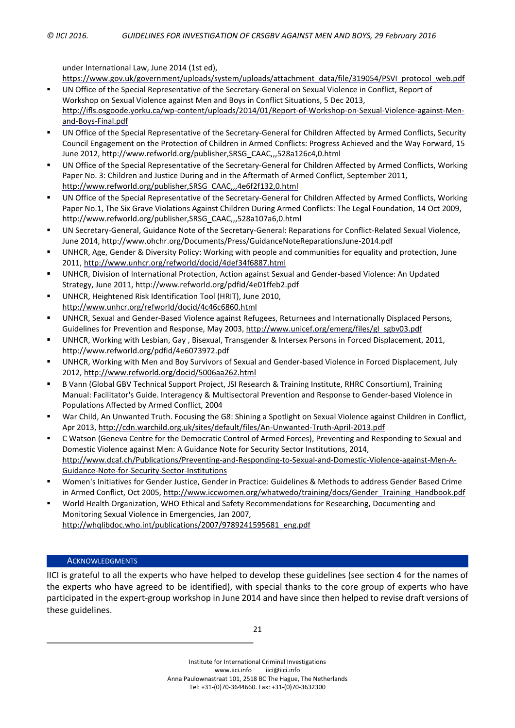under International Law, June 2014 (1st ed),

[https://www.gov.uk/government/uploads/system/uploads/attachment\\_data/file/319054/PSVI\\_protocol\\_web.pdf](https://www.gov.uk/government/uploads/system/uploads/attachment_data/file/319054/PSVI_protocol_web.pdf)

- UN Office of the Special Representative of the Secretary-General on Sexual Violence in Conflict, Report of Workshop on Sexual Violence against Men and Boys in Conflict Situations, 5 Dec 2013, [http://ifls.osgoode.yorku.ca/wp-content/uploads/2014/01/Report-of-Workshop-on-Sexual-Violence-against-Men](http://ifls.osgoode.yorku.ca/wp-content/uploads/2014/01/Report-of-Workshop-on-Sexual-Violence-against-Men-and-Boys-Final.pdf)[and-Boys-Final.pdf](http://ifls.osgoode.yorku.ca/wp-content/uploads/2014/01/Report-of-Workshop-on-Sexual-Violence-against-Men-and-Boys-Final.pdf)
- UN Office of the Special Representative of the Secretary-General for Children Affected by Armed Conflicts, Security Council Engagement on the Protection of Children in Armed Conflicts: Progress Achieved and the Way Forward, 15 June 2012, [http://www.refworld.org/publisher,SRSG\\_CAAC,,,528a126c4,0.html](http://www.refworld.org/publisher,SRSG_CAAC,,,528a126c4,0.html)
- UN Office of the Special Representative of the Secretary-General for Children Affected by Armed Conflicts, Working Paper No. 3: Children and Justice During and in the Aftermath of Armed Conflict, September 2011, [http://www.refworld.org/publisher,SRSG\\_CAAC,,,4e6f2f132,0.html](http://www.refworld.org/publisher,SRSG_CAAC,,,4e6f2f132,0.html)
- UN Office of the Special Representative of the Secretary-General for Children Affected by Armed Conflicts, Working Paper No.1, The Six Grave Violations Against Children During Armed Conflicts: The Legal Foundation, 14 Oct 2009, [http://www.refworld.org/publisher,SRSG\\_CAAC,,,528a107a6,0.html](http://www.refworld.org/publisher,SRSG_CAAC,,,528a107a6,0.html)
- UN Secretary-General, Guidance Note of the Secretary-General: Reparations for Conflict‐Related Sexual Violence, June 2014, http://www.ohchr.org/Documents/Press/GuidanceNoteReparationsJune-2014.pdf
- UNHCR, Age, Gender & Diversity Policy: Working with people and communities for equality and protection, June 2011, <http://www.unhcr.org/refworld/docid/4def34f6887.html>
- UNHCR, Division of International Protection, Action against Sexual and Gender-based Violence: An Updated Strategy, June 2011, <http://www.refworld.org/pdfid/4e01ffeb2.pdf>
- UNHCR, Heightened Risk Identification Tool (HRIT), June 2010, <http://www.unhcr.org/refworld/docid/4c46c6860.html>
- UNHCR, Sexual and Gender-Based Violence against Refugees, Returnees and Internationally Displaced Persons, Guidelines for Prevention and Response, May 2003, [http://www.unicef.org/emerg/files/gl\\_sgbv03.pdf](http://www.unicef.org/emerg/files/gl_sgbv03.pdf)
- UNHCR, Working with Lesbian, Gay , Bisexual, Transgender & Intersex Persons in Forced Displacement, 2011, <http://www.refworld.org/pdfid/4e6073972.pdf>
- UNHCR, Working with Men and Boy Survivors of Sexual and Gender-based Violence in Forced Displacement, July 2012, <http://www.refworld.org/docid/5006aa262.html>
- B Vann (Global GBV Technical Support Project, JSI Research & Training Institute, RHRC Consortium), Training Manual: Facilitator's Guide. Interagency & Multisectoral Prevention and Response to Gender-based Violence in Populations Affected by Armed Conflict, 2004
- War Child, An Unwanted Truth. Focusing the G8: Shining a Spotlight on Sexual Violence against Children in Conflict, Apr 2013, <http://cdn.warchild.org.uk/sites/default/files/An-Unwanted-Truth-April-2013.pdf>
- C Watson (Geneva Centre for the Democratic Control of Armed Forces), Preventing and Responding to Sexual and Domestic Violence against Men: A Guidance Note for Security Sector Institutions, 2014, [http://www.dcaf.ch/Publications/Preventing-and-Responding-to-Sexual-and-Domestic-Violence-against-Men-A-](http://www.dcaf.ch/Publications/Preventing-and-Responding-to-Sexual-and-Domestic-Violence-against-Men-A-Guidance-Note-for-Security-Sector-Institutions)[Guidance-Note-for-Security-Sector-Institutions](http://www.dcaf.ch/Publications/Preventing-and-Responding-to-Sexual-and-Domestic-Violence-against-Men-A-Guidance-Note-for-Security-Sector-Institutions)
- Women's Initiatives for Gender Justice, Gender in Practice: Guidelines & Methods to address Gender Based Crime in Armed Conflict, Oct 2005, [http://www.iccwomen.org/whatwedo/training/docs/Gender\\_Training\\_Handbook.pdf](http://www.iccwomen.org/whatwedo/training/docs/Gender_Training_Handbook.pdf)
- World Health Organization, WHO Ethical and Safety Recommendations for Researching, Documenting and Monitoring Sexual Violence in Emergencies, Jan 2007, [http://whqlibdoc.who.int/publications/2007/9789241595681\\_eng.pdf](http://whqlibdoc.who.int/publications/2007/9789241595681_eng.pdf)

# **ACKNOWLEDGMENTS**

IICI is grateful to all the experts who have helped to develop these guidelines (see section [4](#page-18-0) for the names of the experts who have agreed to be identified), with special thanks to the core group of experts who have participated in the expert-group workshop in June 2014 and have since then helped to revise draft versions of these guidelines.